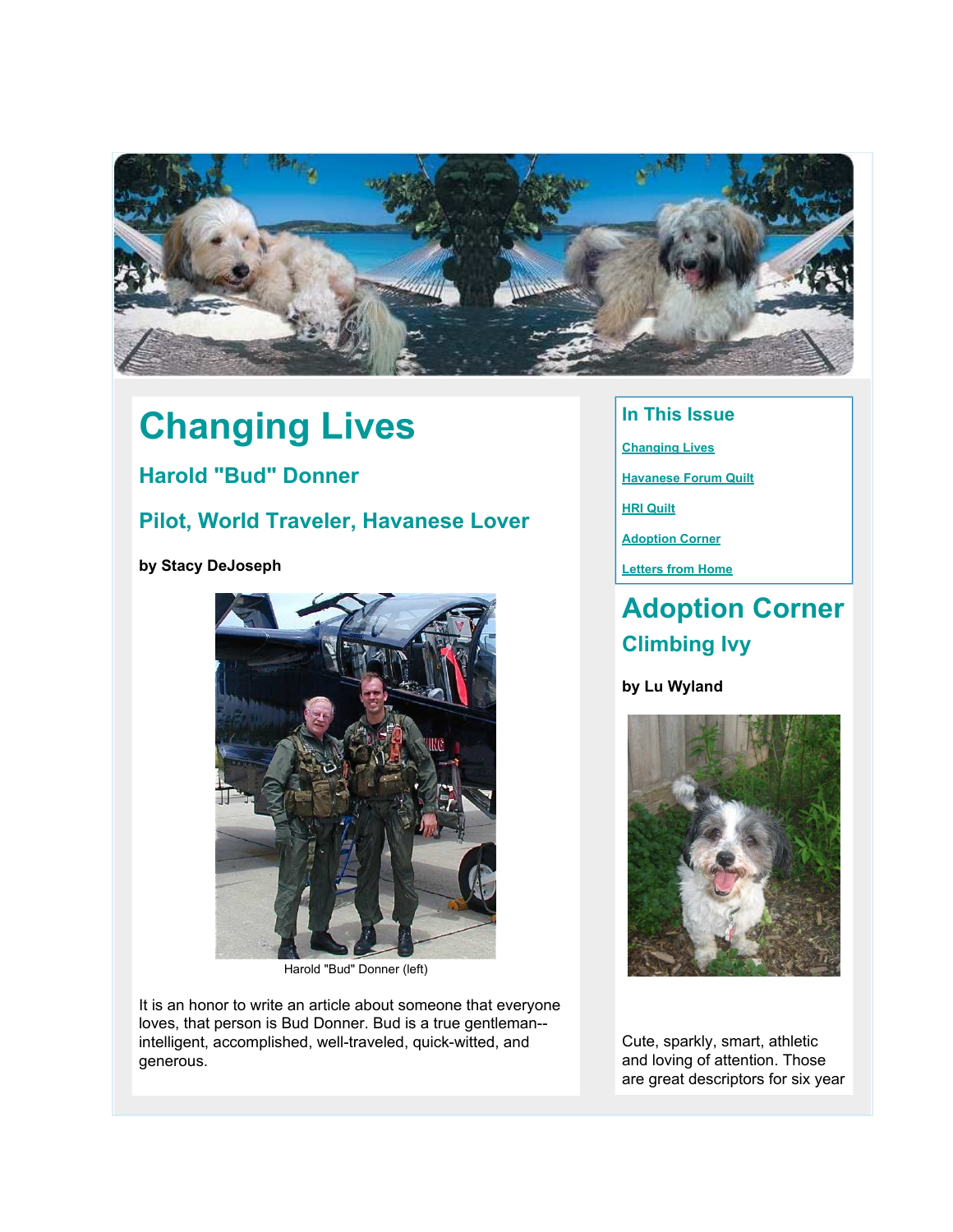

# **Changing Lives**

### **Harold "Bud" Donner**

### **Pilot, World Traveler, Havanese Lover**

**by Stacy DeJoseph**



Harold "Bud" Donner (left)

It is an honor to write an article about someone that everyone loves, that person is Bud Donner. Bud is a true gentleman- intelligent, accomplished, well-traveled, quick-witted, and generous.

### **In This Issue**

- **[Changing Lives](http://mail.google.com/mail/?ui=2&view=bsp&ver=1qygpcgurkovy#122ad16c068a44ad_LETTER.BLOCK19)**
- **[Havanese Forum Quilt](http://mail.google.com/mail/?ui=2&view=bsp&ver=1qygpcgurkovy#122ad16c068a44ad_LETTER.BLOCK18)**
- **[HRI Quilt](http://mail.google.com/mail/?ui=2&view=bsp&ver=1qygpcgurkovy#122ad16c068a44ad_LETTER.BLOCK21)**
- **[Adoption Corner](http://mail.google.com/mail/?ui=2&view=bsp&ver=1qygpcgurkovy#122ad16c068a44ad_LETTER.BLOCK9)**
- **[Letters from Home](http://mail.google.com/mail/?ui=2&view=bsp&ver=1qygpcgurkovy#122ad16c068a44ad_LETTER.BLOCK5)**

## **Adoption Corner Climbing Ivy**

#### **by Lu Wyland**



Cute, sparkly, smart, athletic and loving of attention. Those are great descriptors for six year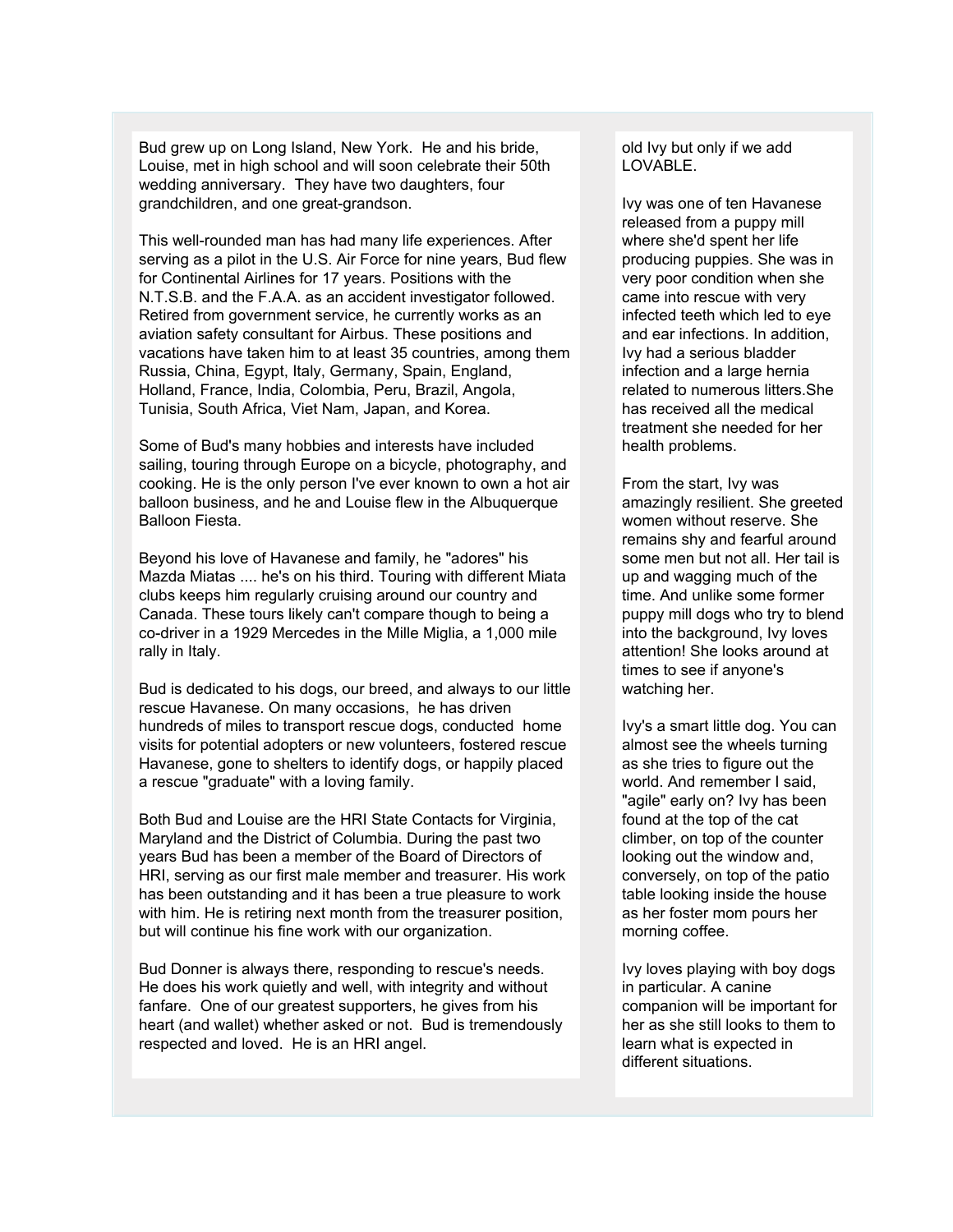Bud grew up on Long Island, New York. He and his bride, Louise, met in high school and will soon celebrate their 50th wedding anniversary. They have two daughters, four grandchildren, and one great-grandson.

This well-rounded man has had many life experiences. After serving as a pilot in the U.S. Air Force for nine years, Bud flew for Continental Airlines for 17 years. Positions with the N.T.S.B. and the F.A.A. as an accident investigator followed. Retired from government service, he currently works as an aviation safety consultant for Airbus. These positions and vacations have taken him to at least 35 countries, among them Russia, China, Egypt, Italy, Germany, Spain, England, Holland, France, India, Colombia, Peru, Brazil, Angola, Tunisia, South Africa, Viet Nam, Japan, and Korea.

Some of Bud's many hobbies and interests have included sailing, touring through Europe on a bicycle, photography, and cooking. He is the only person I've ever known to own a hot air balloon business, and he and Louise flew in the Albuquerque Balloon Fiesta.

Beyond his love of Havanese and family, he "adores" his Mazda Miatas .... he's on his third. Touring with different Miata clubs keeps him regularly cruising around our country and Canada. These tours likely can't compare though to being a co-driver in a 1929 Mercedes in the Mille Miglia, a 1,000 mile rally in Italy.

Bud is dedicated to his dogs, our breed, and always to our little rescue Havanese. On many occasions, he has driven hundreds of miles to transport rescue dogs, conducted home visits for potential adopters or new volunteers, fostered rescue Havanese, gone to shelters to identify dogs, or happily placed a rescue "graduate" with a loving family.

Both Bud and Louise are the HRI State Contacts for Virginia, Maryland and the District of Columbia. During the past two years Bud has been a member of the Board of Directors of HRI, serving as our first male member and treasurer. His work has been outstanding and it has been a true pleasure to work with him. He is retiring next month from the treasurer position, but will continue his fine work with our organization.

Bud Donner is always there, responding to rescue's needs. He does his work quietly and well, with integrity and without fanfare. One of our greatest supporters, he gives from his heart (and wallet) whether asked or not. Bud is tremendously respected and loved. He is an HRI angel.

old Ivy but only if we add LOVABLE.

Ivy was one of ten Havanese released from a puppy mill where she'd spent her life producing puppies. She was in very poor condition when she came into rescue with very infected teeth which led to eye and ear infections. In addition, Ivy had a serious bladder infection and a large hernia related to numerous litters.She has received all the medical treatment she needed for her health problems.

From the start, Ivy was amazingly resilient. She greeted women without reserve. She remains shy and fearful around some men but not all. Her tail is up and wagging much of the time. And unlike some former puppy mill dogs who try to blend into the background, Ivy loves attention! She looks around at times to see if anyone's watching her.

Ivy's a smart little dog. You can almost see the wheels turning as she tries to figure out the world. And remember I said, "agile" early on? Ivy has been found at the top of the cat climber, on top of the counter looking out the window and, conversely, on top of the patio table looking inside the house as her foster mom pours her morning coffee.

Ivy loves playing with boy dogs in particular. A canine companion will be important for her as she still looks to them to learn what is expected in different situations.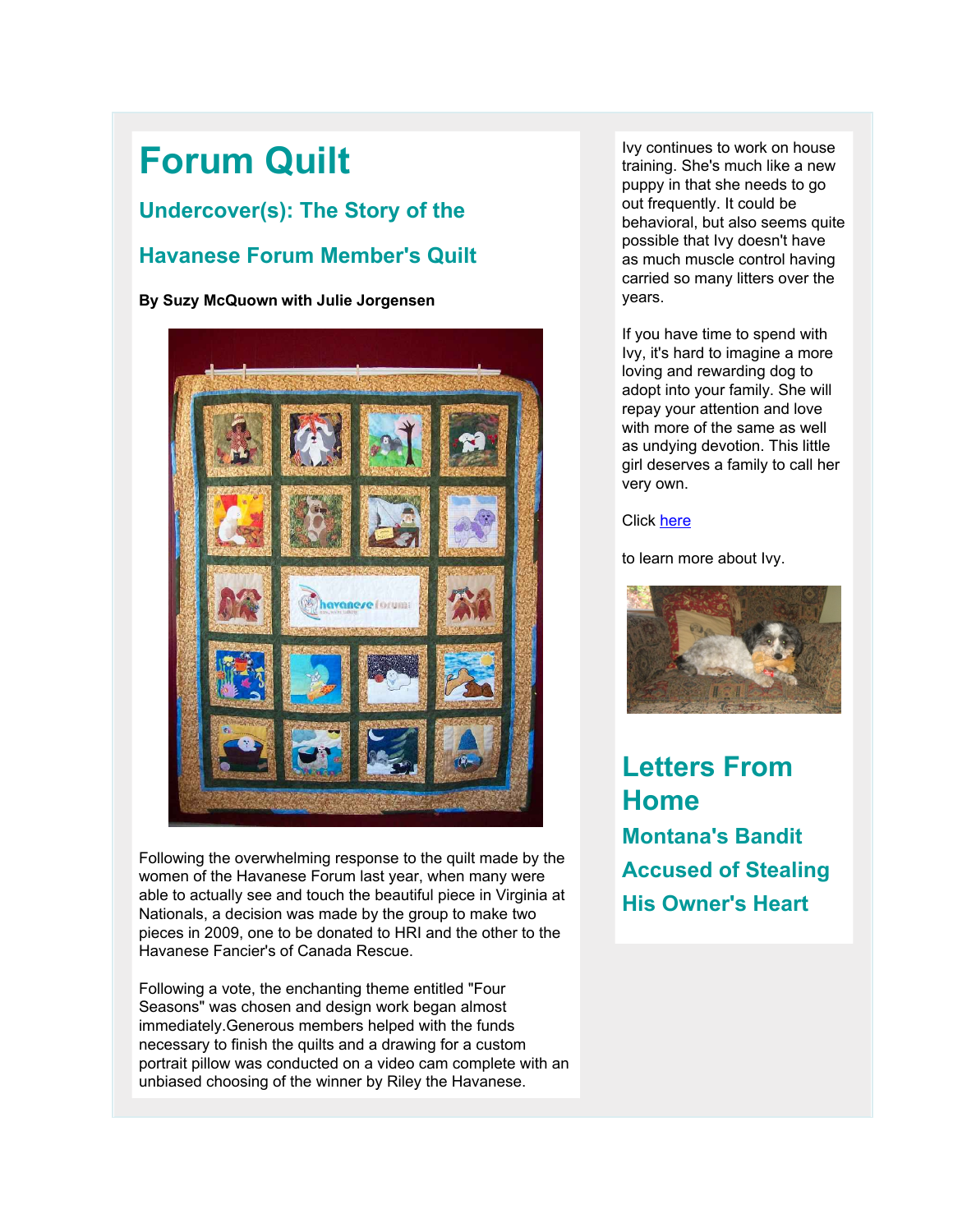## **Forum Quilt**

### **Undercover(s): The Story of the**

### **Havanese Forum Member's Quilt**

#### **By Suzy McQuown with Julie Jorgensen**



Following the overwhelming response to the quilt made by the women of the Havanese Forum last year, when many were able to actually see and touch the beautiful piece in Virginia at Nationals, a decision was made by the group to make two pieces in 2009, one to be donated to HRI and the other to the Havanese Fancier's of Canada Rescue.

Following a vote, the enchanting theme entitled "Four Seasons" was chosen and design work began almost immediately.Generous members helped with the funds necessary to finish the quilts and a drawing for a custom portrait pillow was conducted on a video cam complete with an unbiased choosing of the winner by Riley the Havanese.

Ivy continues to work on house training. She's much like a new puppy in that she needs to go out frequently. It could be behavioral, but also seems quite possible that Ivy doesn't have as much muscle control having carried so many litters over the years.

If you have time to spend with Ivy, it's hard to imagine a more loving and rewarding dog to adopt into your family. She will repay your attention and love with more of the same as well as undying devotion. This little girl deserves a family to call her very own.

#### Click [here](http://rs6.net/tn.jsp?et=1102635620920&s=2126&e=001wBy7xx-assALCP3_bSSgAc2hZ7_FJ0BoVs1JcuLrggxRG6xd1LwUC4G7x7NkRkM4uTd5ZiZnN0zhz4qlKznD3CR_mieuNWeCsHI7h8F97PEAudj8m1102ba0uE1QK0HitmgeBfZV2CP-FVXR7v6phUDwVRNi9l1W167cp1quf0wzVMD06ImHaH0YKeafgcoFSOWWhN6OZfoT_MBIZcH6KwrnfaoBSDBShPOsQk2j8RGCkBNsTzAHrEf-WohwRAUc)

to learn more about Ivy.



## **Letters From Home Montana's Bandit Accused of Stealing His Owner's Heart**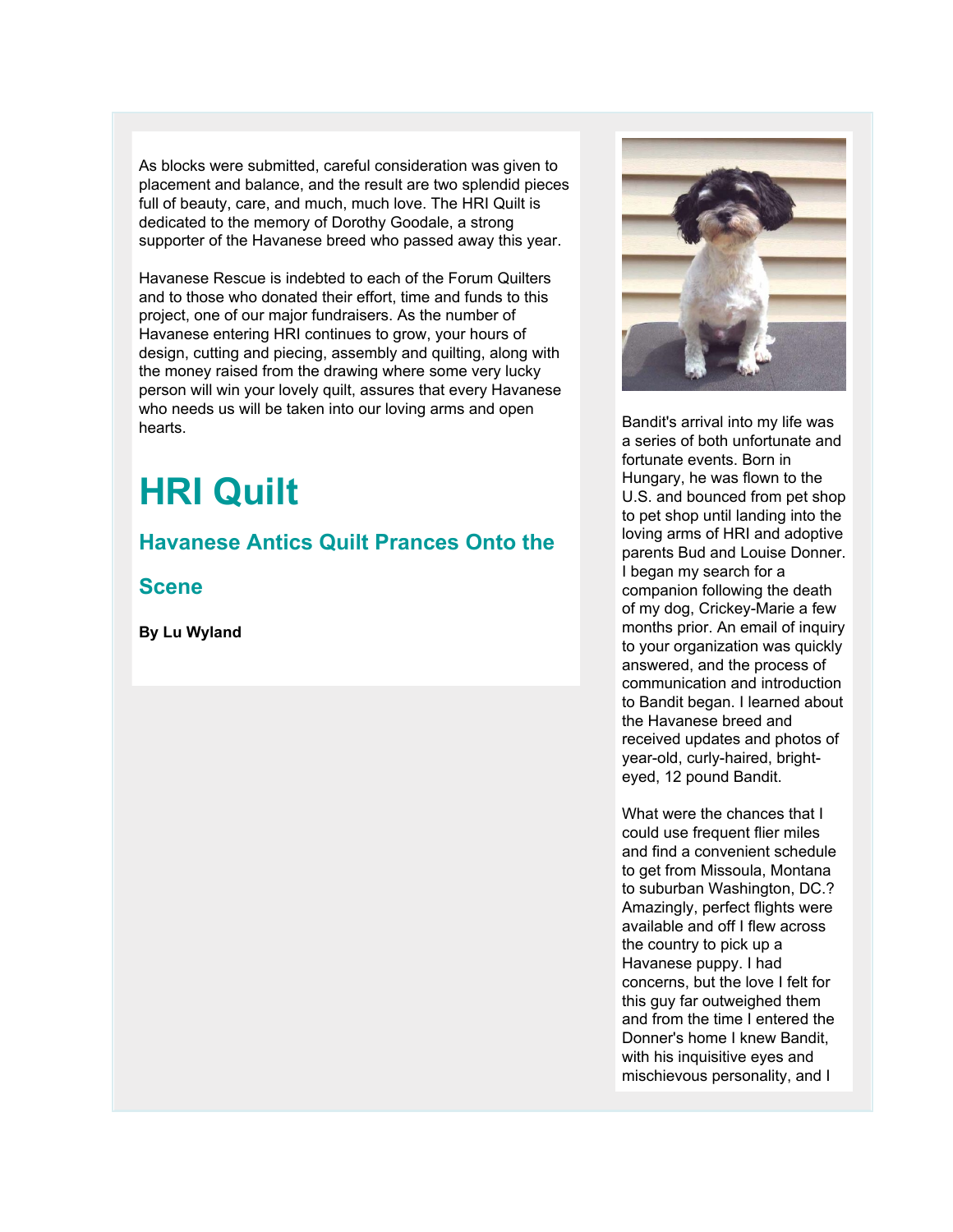As blocks were submitted, careful consideration was given to placement and balance, and the result are two splendid pieces full of beauty, care, and much, much love. The HRI Quilt is dedicated to the memory of Dorothy Goodale, a strong supporter of the Havanese breed who passed away this year.

Havanese Rescue is indebted to each of the Forum Quilters and to those who donated their effort, time and funds to this project, one of our major fundraisers. As the number of Havanese entering HRI continues to grow, your hours of design, cutting and piecing, assembly and quilting, along with the money raised from the drawing where some very lucky person will win your lovely quilt, assures that every Havanese who needs us will be taken into our loving arms and open hearts.

## **HRI Quilt**

### **Havanese Antics Quilt Prances Onto the**

**Scene**

**By Lu Wyland**



Bandit's arrival into my life was a series of both unfortunate and fortunate events. Born in Hungary, he was flown to the U.S. and bounced from pet shop to pet shop until landing into the loving arms of HRI and adoptive parents Bud and Louise Donner. I began my search for a companion following the death of my dog, Crickey-Marie a few months prior. An email of inquiry to your organization was quickly answered, and the process of communication and introduction to Bandit began. I learned about the Havanese breed and received updates and photos of year-old, curly-haired, brighteyed, 12 pound Bandit.

What were the chances that I could use frequent flier miles and find a convenient schedule to get from Missoula, Montana to suburban Washington, DC.? Amazingly, perfect flights were available and off I flew across the country to pick up a Havanese puppy. I had concerns, but the love I felt for this guy far outweighed them and from the time I entered the Donner's home I knew Bandit, with his inquisitive eyes and mischievous personality, and I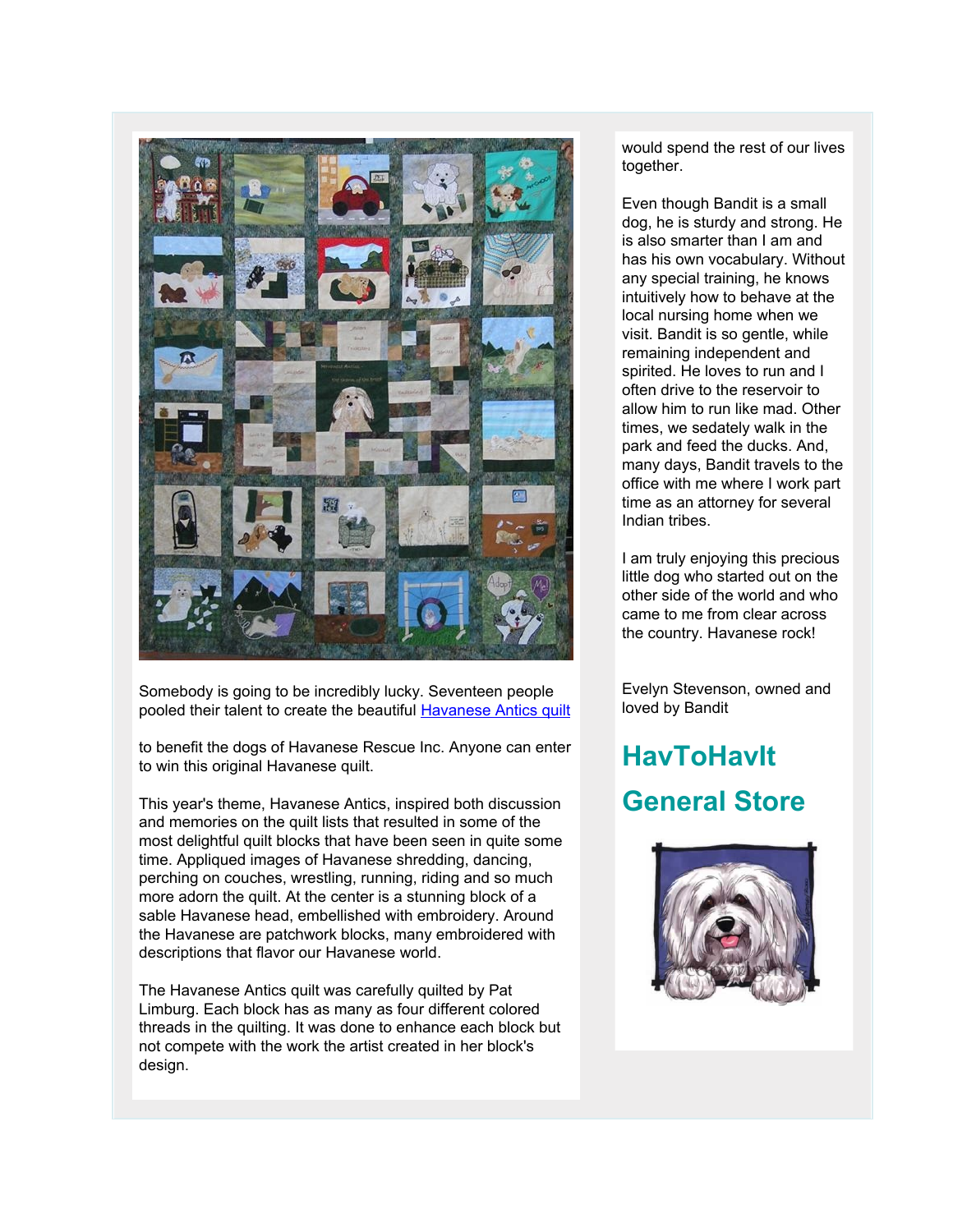

Somebody is going to be incredibly lucky. Seventeen people pooled their talent to create the beautiful **[Havanese Antics quilt](http://rs6.net/tn.jsp?et=1102635620920&s=2126&e=001wBy7xx-assDw8chvxWhk8UdzR02BZucLkIlQr2jBRPfwn01CErKYdNV0qxPogirpXxCwHLnr1FTsH80FDSoo36a223PG8j31J0EesOhFG6KdC6CID5qX6A==)** 

to benefit the dogs of Havanese Rescue Inc. Anyone can enter to win this original Havanese quilt.

This year's theme, Havanese Antics, inspired both discussion and memories on the quilt lists that resulted in some of the most delightful quilt blocks that have been seen in quite some time. Appliqued images of Havanese shredding, dancing, perching on couches, wrestling, running, riding and so much more adorn the quilt. At the center is a stunning block of a sable Havanese head, embellished with embroidery. Around the Havanese are patchwork blocks, many embroidered with descriptions that flavor our Havanese world.

The Havanese Antics quilt was carefully quilted by Pat Limburg. Each block has as many as four different colored threads in the quilting. It was done to enhance each block but not compete with the work the artist created in her block's design.

would spend the rest of our lives together.

Even though Bandit is a small dog, he is sturdy and strong. He is also smarter than I am and has his own vocabulary. Without any special training, he knows intuitively how to behave at the local nursing home when we visit. Bandit is so gentle, while remaining independent and spirited. He loves to run and I often drive to the reservoir to allow him to run like mad. Other times, we sedately walk in the park and feed the ducks. And, many days, Bandit travels to the office with me where I work part time as an attorney for several Indian tribes.

I am truly enjoying this precious little dog who started out on the other side of the world and who came to me from clear across the country. Havanese rock!

Evelyn Stevenson, owned and loved by Bandit

## **HavToHavIt General Store**

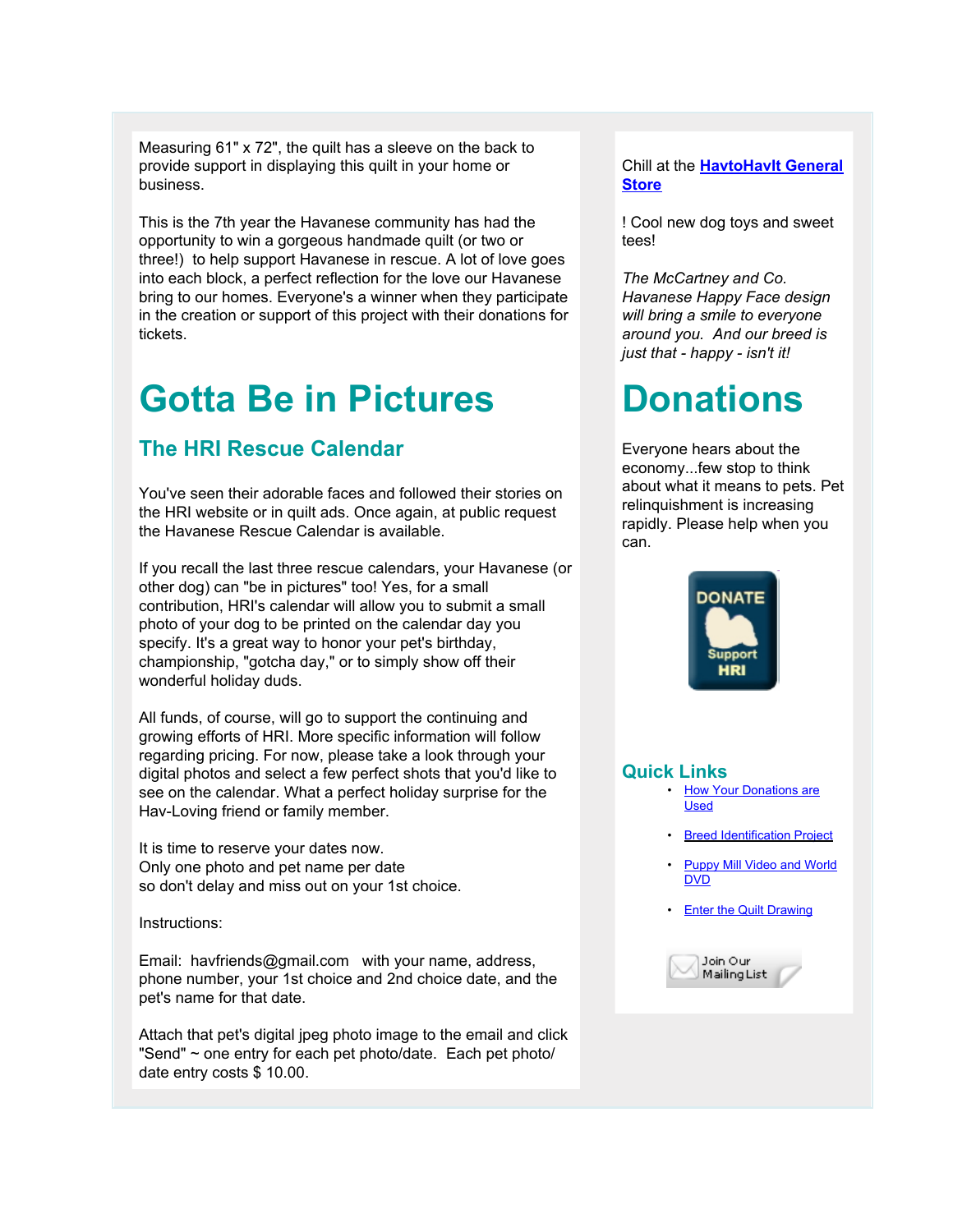Measuring 61" x 72", the quilt has a sleeve on the back to provide support in displaying this quilt in your home or business.

This is the 7th year the Havanese community has had the opportunity to win a gorgeous handmade quilt (or two or three!) to help support Havanese in rescue. A lot of love goes into each block, a perfect reflection for the love our Havanese bring to our homes. Everyone's a winner when they participate in the creation or support of this project with their donations for tickets.

## **Gotta Be in Pictures**

### **The HRI Rescue Calendar**

You've seen their adorable faces and followed their stories on the HRI website or in quilt ads. Once again, at public request the Havanese Rescue Calendar is available.

If you recall the last three rescue calendars, your Havanese (or other dog) can "be in pictures" too! Yes, for a small contribution, HRI's calendar will allow you to submit a small photo of your dog to be printed on the calendar day you specify. It's a great way to honor your pet's birthday, championship, "gotcha day," or to simply show off their wonderful holiday duds.

All funds, of course, will go to support the continuing and growing efforts of HRI. More specific information will follow regarding pricing. For now, please take a look through your digital photos and select a few perfect shots that you'd like to see on the calendar. What a perfect holiday surprise for the Hav-Loving friend or family member.

It is time to reserve your dates now. Only one photo and pet name per date so don't delay and miss out on your 1st choice.

Instructions:

Email: havfriends@gmail.com with your name, address, phone number, your 1st choice and 2nd choice date, and the pet's name for that date.

Attach that pet's digital jpeg photo image to the email and click "Send" ~ one entry for each pet photo/date. Each pet photo/ date entry costs \$ 10.00.

#### Chill at the **[HavtoHavIt General](http://rs6.net/tn.jsp?et=1102635620920&s=2126&e=001wBy7xx-assC095LjpiNGMF9NoWqsuR1uUFewPzrNvBDP8mBA0Ss9pNax8nw6np7SDER7Vhr4WqvZ06AbyqQexaB7bF-IHY7xq1pE5xRKI6qnvOE5Kt1qvw==) [Store](http://rs6.net/tn.jsp?et=1102635620920&s=2126&e=001wBy7xx-assC095LjpiNGMF9NoWqsuR1uUFewPzrNvBDP8mBA0Ss9pNax8nw6np7SDER7Vhr4WqvZ06AbyqQexaB7bF-IHY7xq1pE5xRKI6qnvOE5Kt1qvw==)**

! Cool new dog toys and sweet tees!

*The McCartney and Co. Havanese Happy Face design will bring a smile to everyone around you. And our breed is just that - happy - isn't it!*

## **Donations**

Everyone hears about the economy...few stop to think about what it means to pets. Pet relinquishment is increasing rapidly. Please help when you can.



#### **Quick Links**

- [How Your Donations are](http://rs6.net/tn.jsp?et=1102635620920&s=2126&e=001wBy7xx-assCYYZBcxa55rN0Ta46EHFMo02wnHcELxpexmIHgLM4ZYSJos7CkOxyw_BdsTxpGo0H79AJlCWz2UgEgj5X_PqKiHRrQeRkoVnfYoBP37j1aQkZ5nQvYgdTFSYWZFXPbENw9SwtvpWre37Hnr3tih-eNwvDVKoNQ3KbOsQTmHoJS1RFKDPyUdw_lKFCBU-fcZpSZ0uXZpex7NzI5VedOrheH7a2cpztiu_gElgliuKgJ-DH68hoi952TomcE3jfO7aUx8Z5pwe1Z1Tu6TSICP-k0FXJO1PYlRNgsMXUEygQowg==) [Used](http://rs6.net/tn.jsp?et=1102635620920&s=2126&e=001wBy7xx-assCYYZBcxa55rN0Ta46EHFMo02wnHcELxpexmIHgLM4ZYSJos7CkOxyw_BdsTxpGo0H79AJlCWz2UgEgj5X_PqKiHRrQeRkoVnfYoBP37j1aQkZ5nQvYgdTFSYWZFXPbENw9SwtvpWre37Hnr3tih-eNwvDVKoNQ3KbOsQTmHoJS1RFKDPyUdw_lKFCBU-fcZpSZ0uXZpex7NzI5VedOrheH7a2cpztiu_gElgliuKgJ-DH68hoi952TomcE3jfO7aUx8Z5pwe1Z1Tu6TSICP-k0FXJO1PYlRNgsMXUEygQowg==)
	- **[Breed Identification Project](http://rs6.net/tn.jsp?et=1102635620920&s=2126&e=001wBy7xx-assCzdcwmCkG4AAPZ7A55syY-odUnPtBClUD8HArlcSJ7HjVHqxSZ5rSl8GZK0WVqHCrFz8tJc4Q-IjBBiy0OJvZGaLMHGEDP7tRIus3reEGNMdpFjWIX6kdqGCCmuuP2Omh5KAjA3aPXXOPLnBpMQ9XlzAey9o6t6rpdK3HWaSf092j0relr49eGnK3lMIg69MwU3ou_6mUxG2jjEjHVa1xeOIui9yLRuAoYUuyoz3csFqhmTFcco8e_mJbIhCc7m710WOQK6oCJ9Q==)**
	- **[Puppy Mill Video and World](http://rs6.net/tn.jsp?et=1102635620920&s=2126&e=001wBy7xx-assB7NW5jo9fECtfLSk7JR3laTCSIOmOOfrgTyCPI7O9TLsIfgGTg0X7NEOC5drLChMc0oJmabfpMg3lR977XyL4_SsL4BW5m-xGPy_qxxghyWBkMQPm8Kry1sIOsxDXJl9bIov-x0pgdUdKJxZzzuzLYwNfygrPpw-kjAzKkk4wxz3zVypu3KbsveM7zc1eG5QR8iWMJS8Be2Q==)** [DVD](http://rs6.net/tn.jsp?et=1102635620920&s=2126&e=001wBy7xx-assB7NW5jo9fECtfLSk7JR3laTCSIOmOOfrgTyCPI7O9TLsIfgGTg0X7NEOC5drLChMc0oJmabfpMg3lR977XyL4_SsL4BW5m-xGPy_qxxghyWBkMQPm8Kry1sIOsxDXJl9bIov-x0pgdUdKJxZzzuzLYwNfygrPpw-kjAzKkk4wxz3zVypu3KbsveM7zc1eG5QR8iWMJS8Be2Q==)
	- [Enter the Quilt Drawing](http://rs6.net/tn.jsp?et=1102635620920&s=2126&e=001wBy7xx-assByQ9WdW3BoO9EpWFGTdzxImaVsZtm0RTP3T27vJix3QB_wX1uezqt9cjkTNUBD3VLTDlsxQssJcLHfu3DyIG-R5CHVm3F0keLeI6ftp48-yPrjBnUjSN8qb4L24jkd4pAmqaiAf_GLU5qvmcvVpLdx9qzK8Rlp8jUObDRO4nQwWtvjUGIKLRCOCib3K4q7su80aJvi7M8xWcNSNZyDtxT4jwgqH6yq0NxRRHrn43J16KOYWY53_YnPRdYgbYRoVGm3diH33n2MFT83VpADR5Ky)